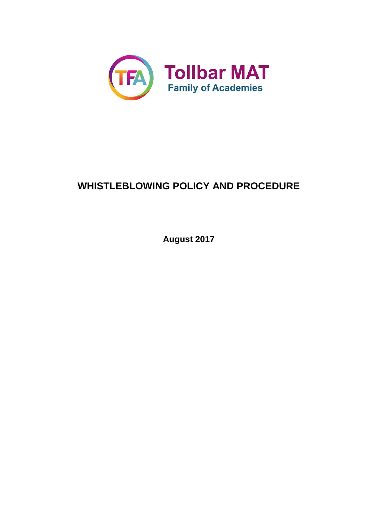

# **WHISTLEBLOWING POLICY AND PROCEDURE**

**August 2017**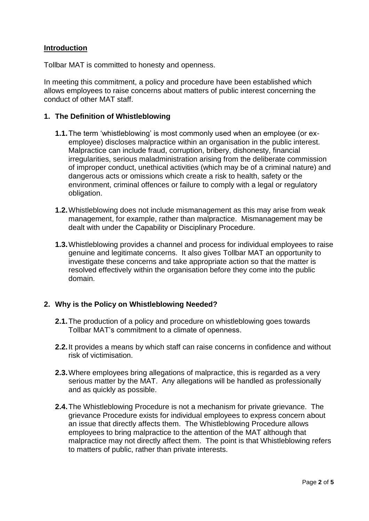## **Introduction**

Tollbar MAT is committed to honesty and openness.

In meeting this commitment, a policy and procedure have been established which allows employees to raise concerns about matters of public interest concerning the conduct of other MAT staff.

## **1. The Definition of Whistleblowing**

- **1.1.**The term 'whistleblowing' is most commonly used when an employee (or exemployee) discloses malpractice within an organisation in the public interest. Malpractice can include fraud, corruption, bribery, dishonesty, financial irregularities, serious maladministration arising from the deliberate commission of improper conduct, unethical activities (which may be of a criminal nature) and dangerous acts or omissions which create a risk to health, safety or the environment, criminal offences or failure to comply with a legal or regulatory obligation.
- **1.2.**Whistleblowing does not include mismanagement as this may arise from weak management, for example, rather than malpractice. Mismanagement may be dealt with under the Capability or Disciplinary Procedure.
- **1.3.**Whistleblowing provides a channel and process for individual employees to raise genuine and legitimate concerns. It also gives Tollbar MAT an opportunity to investigate these concerns and take appropriate action so that the matter is resolved effectively within the organisation before they come into the public domain.

## **2. Why is the Policy on Whistleblowing Needed?**

- **2.1.**The production of a policy and procedure on whistleblowing goes towards Tollbar MAT's commitment to a climate of openness.
- **2.2.**It provides a means by which staff can raise concerns in confidence and without risk of victimisation.
- **2.3.**Where employees bring allegations of malpractice, this is regarded as a very serious matter by the MAT. Any allegations will be handled as professionally and as quickly as possible.
- **2.4.**The Whistleblowing Procedure is not a mechanism for private grievance. The grievance Procedure exists for individual employees to express concern about an issue that directly affects them. The Whistleblowing Procedure allows employees to bring malpractice to the attention of the MAT although that malpractice may not directly affect them. The point is that Whistleblowing refers to matters of public, rather than private interests.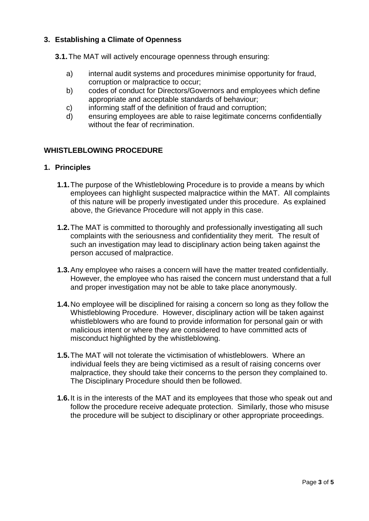## **3. Establishing a Climate of Openness**

**3.1.**The MAT will actively encourage openness through ensuring:

- a) internal audit systems and procedures minimise opportunity for fraud, corruption or malpractice to occur;
- b) codes of conduct for Directors/Governors and employees which define appropriate and acceptable standards of behaviour;
- c) informing staff of the definition of fraud and corruption;
- d) ensuring employees are able to raise legitimate concerns confidentially without the fear of recrimination.

## **WHISTLEBLOWING PROCEDURE**

#### **1. Principles**

- **1.1.**The purpose of the Whistleblowing Procedure is to provide a means by which employees can highlight suspected malpractice within the MAT. All complaints of this nature will be properly investigated under this procedure. As explained above, the Grievance Procedure will not apply in this case.
- **1.2.**The MAT is committed to thoroughly and professionally investigating all such complaints with the seriousness and confidentiality they merit. The result of such an investigation may lead to disciplinary action being taken against the person accused of malpractice.
- **1.3.**Any employee who raises a concern will have the matter treated confidentially. However, the employee who has raised the concern must understand that a full and proper investigation may not be able to take place anonymously.
- **1.4.**No employee will be disciplined for raising a concern so long as they follow the Whistleblowing Procedure. However, disciplinary action will be taken against whistleblowers who are found to provide information for personal gain or with malicious intent or where they are considered to have committed acts of misconduct highlighted by the whistleblowing.
- **1.5.**The MAT will not tolerate the victimisation of whistleblowers. Where an individual feels they are being victimised as a result of raising concerns over malpractice, they should take their concerns to the person they complained to. The Disciplinary Procedure should then be followed.
- **1.6.**It is in the interests of the MAT and its employees that those who speak out and follow the procedure receive adequate protection. Similarly, those who misuse the procedure will be subject to disciplinary or other appropriate proceedings.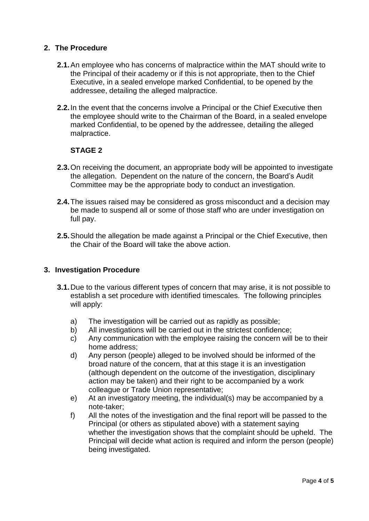## **2. The Procedure**

- **2.1.**An employee who has concerns of malpractice within the MAT should write to the Principal of their academy or if this is not appropriate, then to the Chief Executive, in a sealed envelope marked Confidential, to be opened by the addressee, detailing the alleged malpractice.
- **2.2.**In the event that the concerns involve a Principal or the Chief Executive then the employee should write to the Chairman of the Board, in a sealed envelope marked Confidential, to be opened by the addressee, detailing the alleged malpractice.

## **STAGE 2**

- **2.3.**On receiving the document, an appropriate body will be appointed to investigate the allegation. Dependent on the nature of the concern, the Board's Audit Committee may be the appropriate body to conduct an investigation.
- **2.4.**The issues raised may be considered as gross misconduct and a decision may be made to suspend all or some of those staff who are under investigation on full pay.
- **2.5.**Should the allegation be made against a Principal or the Chief Executive, then the Chair of the Board will take the above action.

## **3. Investigation Procedure**

- **3.1.**Due to the various different types of concern that may arise, it is not possible to establish a set procedure with identified timescales. The following principles will apply:
	- a) The investigation will be carried out as rapidly as possible;
	- b) All investigations will be carried out in the strictest confidence;
	- c) Any communication with the employee raising the concern will be to their home address;
	- d) Any person (people) alleged to be involved should be informed of the broad nature of the concern, that at this stage it is an investigation (although dependent on the outcome of the investigation, disciplinary action may be taken) and their right to be accompanied by a work colleague or Trade Union representative;
	- e) At an investigatory meeting, the individual(s) may be accompanied by a note-taker;
	- f) All the notes of the investigation and the final report will be passed to the Principal (or others as stipulated above) with a statement saying whether the investigation shows that the complaint should be upheld. The Principal will decide what action is required and inform the person (people) being investigated.